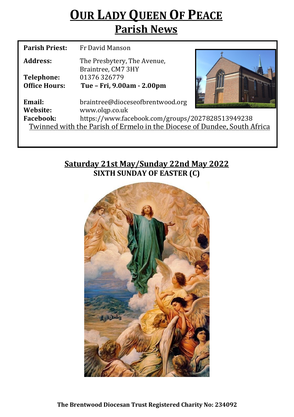## **OUR LADY QUEEN OF PEACE Parish News**

| <b>Parish Priest:</b>                                                    | Fr David Manson                                   |  |  |  |
|--------------------------------------------------------------------------|---------------------------------------------------|--|--|--|
| Address:                                                                 | The Presbytery, The Avenue,<br>Braintree, CM7 3HY |  |  |  |
| Telephone:                                                               | 01376326779                                       |  |  |  |
| <b>Office Hours:</b>                                                     | Tue - Fri, 9.00am - 2.00pm                        |  |  |  |
| Email:                                                                   | braintree@dioceseofbrentwood.org                  |  |  |  |
| Website:                                                                 | www.olqp.co.uk                                    |  |  |  |
| <b>Facebook:</b>                                                         | https://www.facebook.com/groups/2027828513949238  |  |  |  |
| Twinned with the Parish of Ermelo in the Diocese of Dundee, South Africa |                                                   |  |  |  |
|                                                                          |                                                   |  |  |  |

### **Saturday 21st May/Sunday 22nd May 2022 SIXTH SUNDAY OF EASTER (C)**

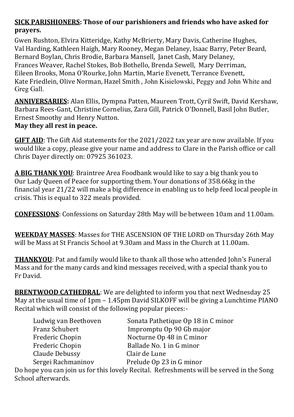#### **SICK PARISHIONERS: Those of our parishioners and friends who have asked for prayers.**

Gwen Rushton, Elvira Kitteridge, Kathy McBrierty, Mary Davis, Catherine Hughes, Val Harding, Kathleen Haigh, Mary Rooney, Megan Delaney, Isaac Barry, Peter Beard, Bernard Boylan, Chris Brodie, Barbara Mansell, Janet Cash, Mary Delaney, Frances Weaver, Rachel Stokes, Bob Bothello, Brenda Sewell, Mary Derriman, Eileen Brooks, Mona O'Rourke, John Martin, Marie Evenett, Terrance Evenett, Kate Friedlein, Olive Norman, Hazel Smith , John Kisielowski, Peggy and John White and Greg Gall.

**ANNIVERSARIES:** Alan Ellis, Dympna Patten, Maureen Trott, Cyril Swift, David Kershaw, Barbara Rees-Gant, Christine Cornelius, Zara Gill, Patrick O'Donnell, Basil John Butler, Ernest Smoothy and Henry Nutton.

#### **May they all rest in peace.**

**GIFT AID**: The Gift Aid statements for the 2021/2022 tax year are now available. If you would like a copy, please give your name and address to Clare in the Parish office or call Chris Dayer directly on: 07925 361023.

**A BIG THANK YOU**: Braintree Area Foodbank would like to say a big thank you to Our Lady Queen of Peace for supporting them. Your donations of 358.66kg in the financial year 21/22 will make a big difference in enabling us to help feed local people in crisis. This is equal to 322 meals provided.

**CONFESSIONS**: Confessions on Saturday 28th May will be between 10am and 11.00am.

**WEEKDAY MASSES**: Masses for THE ASCENSION OF THE LORD on Thursday 26th May will be Mass at St Francis School at 9.30am and Mass in the Church at 11.00am.

**THANKYOU**: Pat and family would like to thank all those who attended John's Funeral Mass and for the many cards and kind messages received, with a special thank you to Fr David.

**BRENTWOOD CATHEDRAL**: We are delighted to inform you that next Wednesday 25 May at the usual time of 1pm – 1.45pm David SILKOFF will be giving a Lunchtime PIANO Recital which will consist of the following popular pieces:-

| Ludwig van Beethoven | Sonata Pathetique Op 18 in C minor |
|----------------------|------------------------------------|
| Franz Schubert       | Impromptu Op 90 Gb major           |
| Frederic Chopin      | Nocturne Op 48 in C minor          |
| Frederic Chopin      | Ballade No. 1 in G minor           |
| Claude Debussy       | Clair de Lune                      |
| Sergei Rachmaninov   | Prelude Op 23 in G minor           |

Do hope you can join us for this lovely Recital. Refreshments will be served in the Song School afterwards.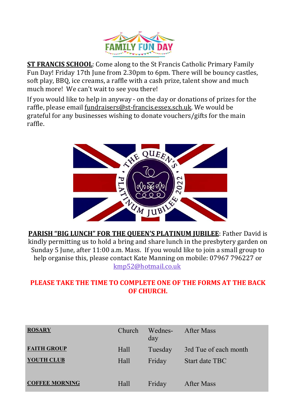

**ST FRANCIS SCHOOL**: Come along to the St Francis Catholic Primary Family Fun Day! Friday 17th June from 2.30pm to 6pm. There will be bouncy castles, soft play, BBQ, ice creams, a raffle with a cash prize, talent show and much much more! We can't wait to see you there!

If you would like to help in anyway - on the day or donations of prizes for the raffle, please email fundraisers@st-[francis.essex.sch.uk.](mailto:fundraisers@st-francis.essex.sch.uk) We would be grateful for any businesses wishing to donate vouchers/gifts for the main raffle.



**PARISH "BIG LUNCH" FOR THE QUEEN'S PLATINUM JUBILEE**: Father David is kindly permitting us to hold a bring and share lunch in the presbytery garden on Sunday 5 June, after 11:00 a.m. Mass. If you would like to join a small group to help organise this, please contact Kate Manning on mobile: 07967 796227 or [kmp52@hotmail.co.uk](mailto:kmp52@hotmail.co.uk)

#### **PLEASE TAKE THE TIME TO COMPLETE ONE OF THE FORMS AT THE BACK OF CHURCH.**

| <b>ROSARY</b>         | Church | Wednes- After Mass<br>day |                       |
|-----------------------|--------|---------------------------|-----------------------|
| <b>FAITH GROUP</b>    | Hall   | Tuesday                   | 3rd Tue of each month |
| YOUTH CLUB            | Hall   | Friday                    | Start date TBC        |
| <b>COFFEE MORNING</b> | Hall   | Friday                    | After Mass            |